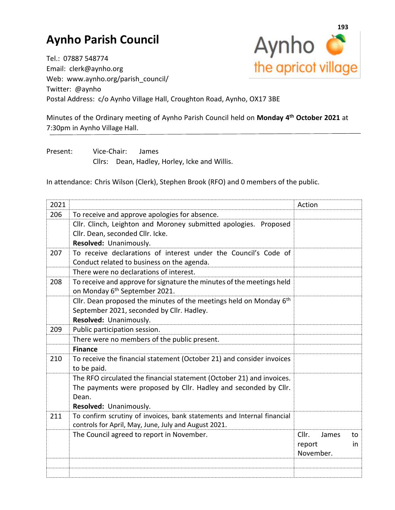## **Aynho Parish Council**



Tel.: 07887 548774 Email: clerk@aynho.org Web: www.aynho.org/parish\_council/ Twitter: @aynho Postal Address: c/o Aynho Village Hall, Croughton Road, Aynho, OX17 3BE

Minutes of the Ordinary meeting of Aynho Parish Council held on **Monday 4 th October 2021** at 7:30pm in Aynho Village Hall.

Present: Vice-Chair: James Cllrs: Dean, Hadley, Horley, Icke and Willis.

In attendance: Chris Wilson (Clerk), Stephen Brook (RFO) and 0 members of the public.

| 2021 |                                                                         | Action               |
|------|-------------------------------------------------------------------------|----------------------|
| 206  | To receive and approve apologies for absence.                           |                      |
|      | Cllr. Clinch, Leighton and Moroney submitted apologies. Proposed        |                      |
|      | Cllr. Dean, seconded Cllr. Icke.                                        |                      |
|      | Resolved: Unanimously.                                                  |                      |
| 207  | To receive declarations of interest under the Council's Code of         |                      |
|      | Conduct related to business on the agenda.                              |                      |
|      | There were no declarations of interest.                                 |                      |
| 208  | To receive and approve for signature the minutes of the meetings held   |                      |
|      | on Monday 6 <sup>th</sup> September 2021.                               |                      |
|      | Cllr. Dean proposed the minutes of the meetings held on Monday $6th$    |                      |
|      | September 2021, seconded by Cllr. Hadley.                               |                      |
|      | Resolved: Unanimously.                                                  |                      |
| 209  | Public participation session.                                           |                      |
|      | There were no members of the public present.                            |                      |
|      | <b>Finance</b>                                                          |                      |
| 210  | To receive the financial statement (October 21) and consider invoices   |                      |
|      | to be paid.                                                             |                      |
|      | The RFO circulated the financial statement (October 21) and invoices.   |                      |
|      | The payments were proposed by Cllr. Hadley and seconded by Cllr.        |                      |
|      | Dean.                                                                   |                      |
|      | Resolved: Unanimously.                                                  |                      |
| 211  | To confirm scrutiny of invoices, bank statements and Internal financial |                      |
|      | controls for April, May, June, July and August 2021.                    |                      |
|      | The Council agreed to report in November.                               | Cllr.<br>James<br>to |
|      |                                                                         | report<br>in.        |
|      |                                                                         | November.            |
|      |                                                                         |                      |
|      |                                                                         |                      |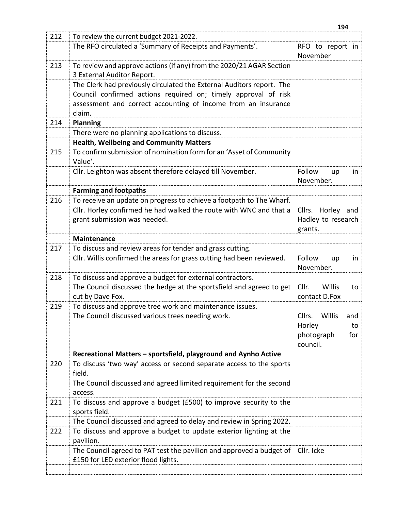|     |                                                                                                             | 194                                     |
|-----|-------------------------------------------------------------------------------------------------------------|-----------------------------------------|
| 212 | To review the current budget 2021-2022.                                                                     |                                         |
|     | The RFO circulated a 'Summary of Receipts and Payments'.                                                    | RFO to report in<br>November            |
| 213 | To review and approve actions (if any) from the 2020/21 AGAR Section<br>3 External Auditor Report.          |                                         |
|     | The Clerk had previously circulated the External Auditors report. The                                       |                                         |
|     | Council confirmed actions required on; timely approval of risk                                              |                                         |
|     | assessment and correct accounting of income from an insurance<br>claim.                                     |                                         |
| 214 | <b>Planning</b>                                                                                             |                                         |
|     | There were no planning applications to discuss.                                                             |                                         |
|     | <b>Health, Wellbeing and Community Matters</b>                                                              |                                         |
| 215 | To confirm submission of nomination form for an 'Asset of Community                                         |                                         |
|     | Value'.                                                                                                     |                                         |
|     | Cllr. Leighton was absent therefore delayed till November.                                                  | Follow<br>up<br>in.                     |
|     |                                                                                                             | November.                               |
|     | <b>Farming and footpaths</b>                                                                                |                                         |
| 216 | To receive an update on progress to achieve a footpath to The Wharf.                                        |                                         |
|     | Cllr. Horley confirmed he had walked the route with WNC and that a                                          | Cllrs.<br>Horley and                    |
|     | grant submission was needed.                                                                                | Hadley to research<br>grants.           |
|     | <b>Maintenance</b>                                                                                          |                                         |
| 217 | To discuss and review areas for tender and grass cutting.                                                   |                                         |
|     | Cllr. Willis confirmed the areas for grass cutting had been reviewed.                                       | Follow<br>in<br>up<br>November.         |
| 218 | To discuss and approve a budget for external contractors.                                                   |                                         |
|     | The Council discussed the hedge at the sportsfield and agreed to get                                        | Cllr.<br>Willis<br>to                   |
|     | cut by Dave Fox.                                                                                            | contact D.Fox                           |
| 219 | To discuss and approve tree work and maintenance issues.                                                    |                                         |
|     | The Council discussed various trees needing work.                                                           | Cllrs.<br>Willis<br>and<br>Horley<br>to |
|     |                                                                                                             | photograph<br>for<br>council.           |
|     | Recreational Matters - sportsfield, playground and Aynho Active                                             |                                         |
| 220 | To discuss 'two way' access or second separate access to the sports<br>field.                               |                                         |
|     | The Council discussed and agreed limited requirement for the second<br>access.                              |                                         |
| 221 | To discuss and approve a budget (£500) to improve security to the<br>sports field.                          |                                         |
|     | The Council discussed and agreed to delay and review in Spring 2022.                                        |                                         |
| 222 | To discuss and approve a budget to update exterior lighting at the<br>pavilion.                             |                                         |
|     | The Council agreed to PAT test the pavilion and approved a budget of<br>£150 for LED exterior flood lights. | Cllr. Icke                              |
|     |                                                                                                             |                                         |